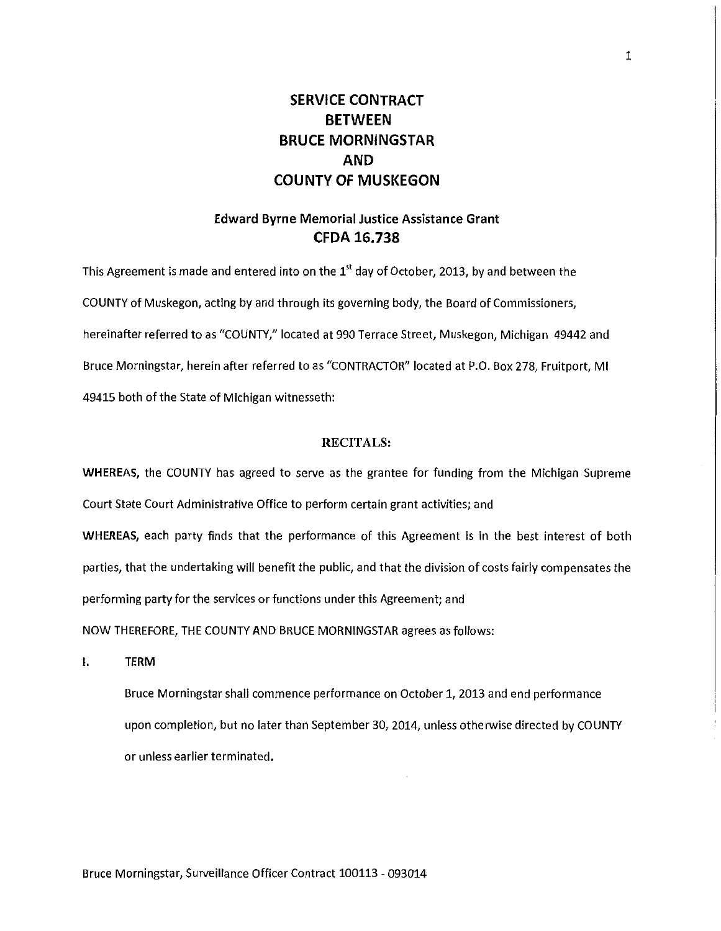## **SERVICE CONTRACT BETWEEN BRUCE MORNINGSTAR AND COUNTY OF MUSKEGON**

## **Edward Byrne Memorial Justice Assistance Grant CFDA 16.738**

This Agreement is made and entered into on the  $1<sup>st</sup>$  day of October, 2013, by and between the COUNTY of Muskegon, acting by and through its governing body, the Board of Commissioners, hereinafter referred to as "COUNTY," located at 990 Terrace Street, Muskegon, Michigan 49442 and Bruce Morningstar, herein after referred to as "CONTRACTOR" located at P.O. Box 278, Fruitport, Ml 49415 both of the State of Michigan witnesseth:

#### **RECITALS:**

**WHEREAS,** the COUNTY has agreed to serve as the grantee for funding from the Michigan Supreme Court State Court Administrative Office to perform certain grant activities; and

**WHEREAS,** each party finds that the performance of this Agreement is in the best interest of both parties, that the undertaking will benefit the public, and that the division of costs fairly compensates the performing party for the services or functions under this Agreement; and

NOW THEREFORE, THE COUNTY AND BRUCE MORNINGSTAR agrees as follows:

I. **TERM** 

Bruce Morningstar shall commence performance on October 1, 2013 and end performance upon completion, but no later than September 30, 2014, unless otherwise directed by COUNTY or unless earlier terminated.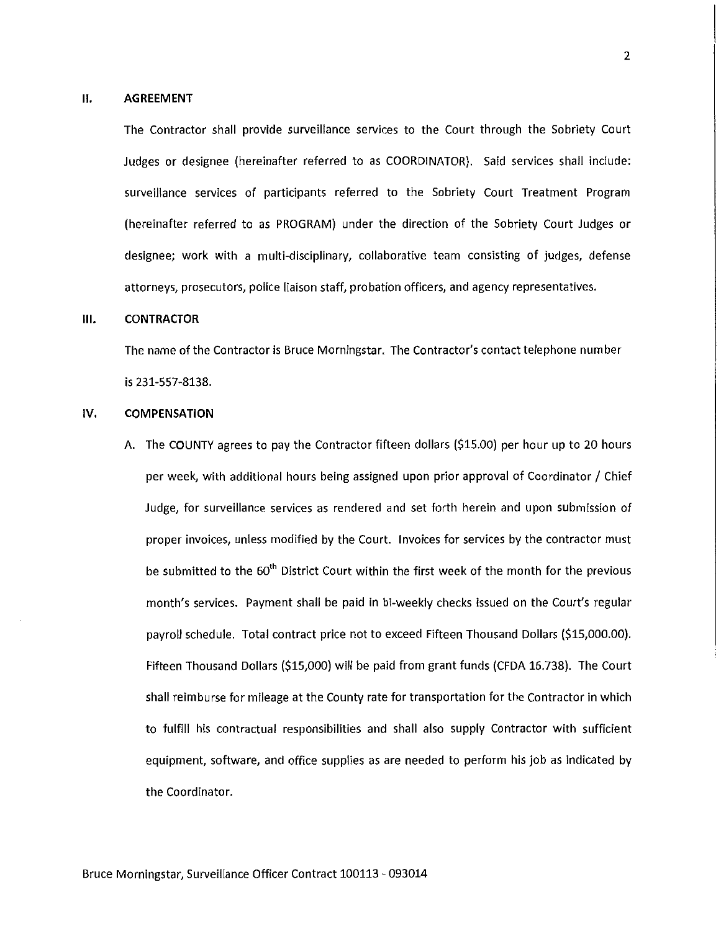#### **II. AGREEMENT**

The Contractor shall provide surveillance services to the Court through the Sobriety Court Judges or designee (hereinafter referred to as COORDINATOR). Said services shall include: surveillance services of participants referred to the Sobriety Court Treatment Program (hereinafter referred to as PROGRAM) under the direction of the Sobriety Court Judges or designee; work with a multi-disciplinary, collaborative team consisting of judges, defense attorneys, prosecutors, police liaison staff, probation officers, and agency representatives.

#### **Ill. CONTRACTOR**

The name of the Contractor is Bruce Morningstar. The Contractor's contact telephone number is 231-557-8138.

#### IV. **COMPENSATION**

A. The COUNTY agrees to pay the Contractor fifteen dollars (\$15.00) per hour up to 20 hours per week, with additional hours being assigned upon prior approval of Coordinator / Chief Judge, for surveillance services as rendered and set forth herein and upon submission of proper invoices, unless modified by the Court. Invoices for services by the contractor must be submitted to the 60<sup>th</sup> District Court within the first week of the month for the previous month's services. Payment shall be paid in bi-weekly checks issued on the Court's regular payroll schedule. Total contract price not to exceed Fifteen Thousand Dollars (\$15,000.00). Fifteen Thousand Dollars (\$15,000) will be paid from grant funds (CFDA 16.738). The Court shall reimburse for mileage at the County rate for transportation for the Contractor in which to fulfill his contractual responsibilities and shall also supply Contractor with sufficient equipment, software, and office supplies as are needed to perform his job as indicated by the Coordinator.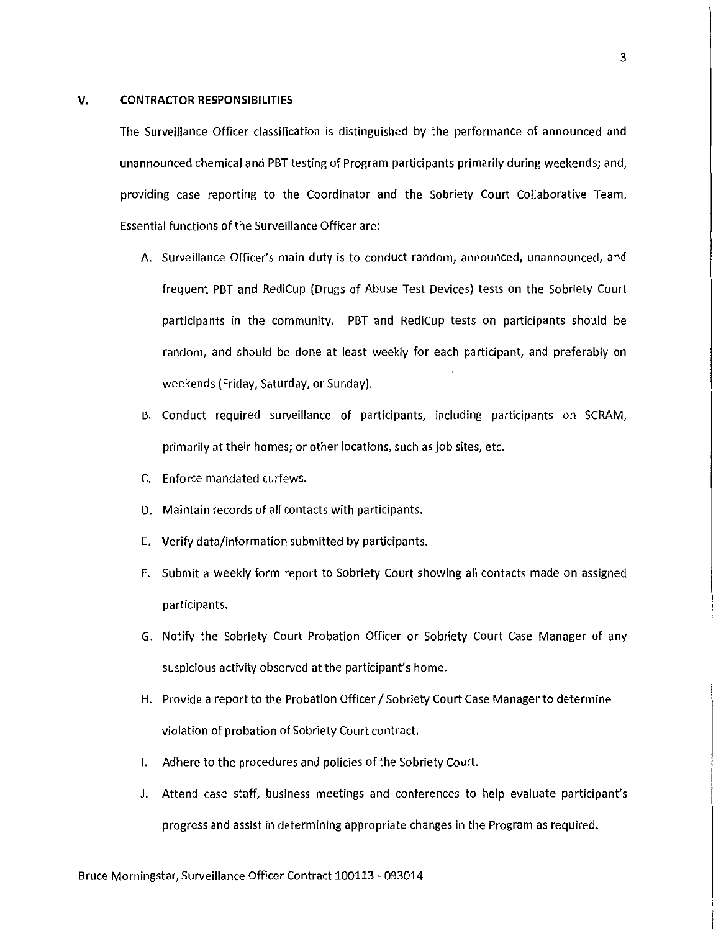#### **V. CONTRACTOR RESPONSIBILITIES**

The Surveillance Officer classification is distinguished by the performance of announced and unannounced chemical and PBT testing of Program participants primarily during weekends; and, providing case reporting to the Coordinator and the Sobriety Court Collaborative Team. Essential functions of the Surveillance Officer are:

- A. Surveillance Officer's main duty is to conduct random, announced, unannounced, and frequent PBT and RediCup (Drugs of Abuse Test Devices) tests on the Sobriety Court participants in the community. PBT and RediCup tests on participants should be random, and should be done at least weekly for each participant, and preferably on weekends (Friday, Saturday, or Sunday).
- B. Conduct required surveillance of participants, including participants on SCRAM, primarily at their homes; or other locations, such as job sites, etc.
- C. Enforce mandated curfews.
- D. Maintain records of all contacts with participants.
- E. Verify data/information submitted by participants.
- F. Submit a weekly form report to Sobriety Court showing all contacts made on assigned participants.
- G. Notify the Sobriety Court Probation Officer or Sobriety Court Case Manager of any suspicious activity observed at the participant's home.
- H. Provide a report to the Probation Officer / Sobriety Court Case Manager to determine violation of probation of Sobriety Court contract.
- I. Adhere to the procedures and policies of the Sobriety Court.
- J. Attend case staff, business meetings and conferences to help evaluate participant's progress and assist in determining appropriate changes in the Program as required.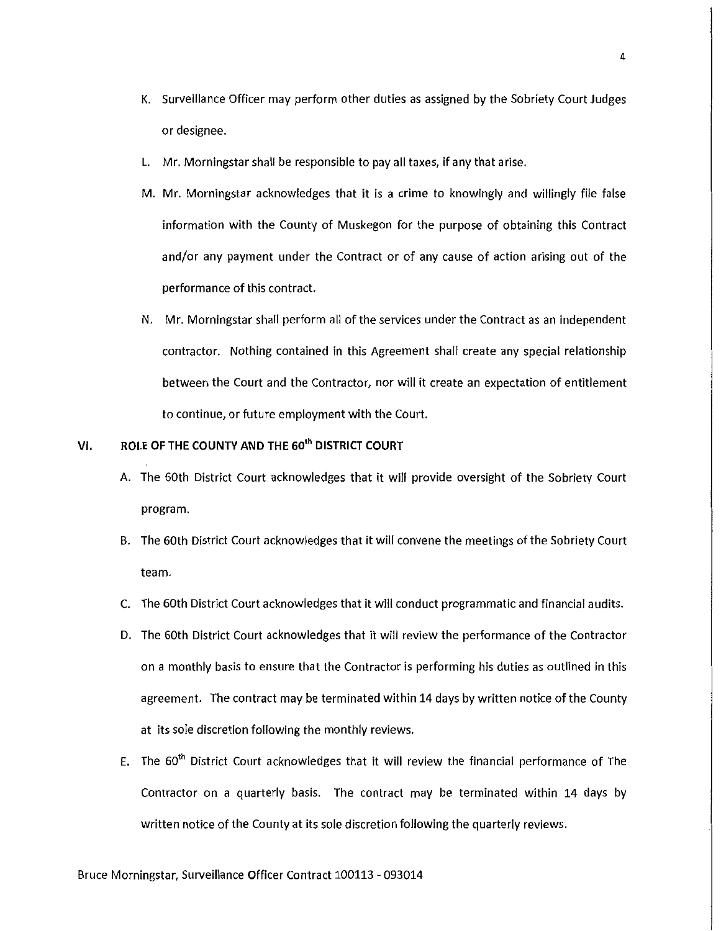- K. Surveillance Officer may perform other duties as assigned by the Sobriety Court Judges or designee.
- L. Mr. Morningstar shall be responsible to pay all taxes, if any that arise.
- M. Mr. Morningstar acknowledges that it is a crime to knowingly and willingly file false information with the County of Muskegon for the purpose of obtaining this Contract and/or any payment under the Contract or of any cause of action arising out of the performance of this contract.
- N. Mr. Morningstar shall perform all of the services under the Contract as an independent contractor. Nothing contained in this Agreement shall create any special relationship between the Court and the Contractor, nor will it create an expectation of entitlement to continue, or future employment with the Court.

## VI. **ROLE OF THE COUNTY AND THE 60'" DISTRICT COURT**

- A. The 60th District Court acknowledges that it will provide oversight of the Sobriety Court program.
- B. The 60th District Court acknowledges that it will convene the meetings of the Sobriety Court team.
- C. The 60th District Court acknowledges that it will conduct programmatic and financial audits.
- D. The 60th District Court acknowledges that it will review the performance of the Contractor on a monthly basis to ensure that the Contractor is performing his duties as outlined in this agreement. The contract may be terminated within 14 days by written notice of the County at its sole discretion following the monthly reviews.
- E. The 60<sup>th</sup> District Court acknowledges that it will review the financial performance of The Contractor on a quarterly basis. The contract may be terminated within 14 days by written notice of the County at its sole discretion following the quarterly reviews.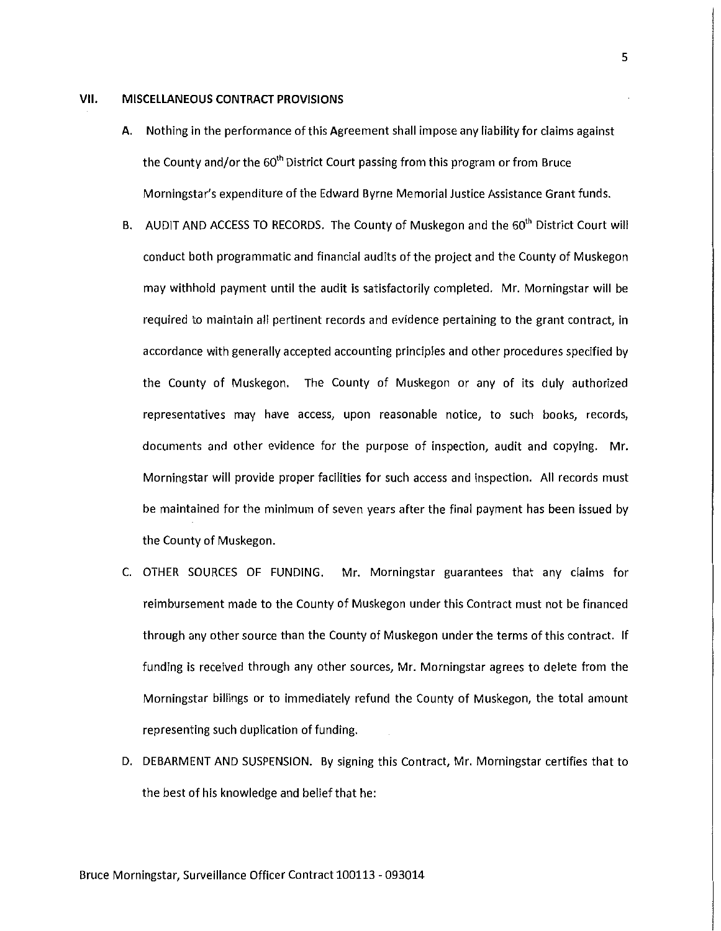#### **VII. MISCELLANEOUS CONTRACT PROVISIONS**

- A. Nothing in the performance of this Agreement shall impose any liability for claims against the County and/or the 60<sup>th</sup> District Court passing from this program or from Bruce Morningstar's expenditure of the Edward Byrne Memorial Justice Assistance Grant funds.
- B. AUDIT AND ACCESS TO RECORDS. The County of Muskegon and the 60<sup>th</sup> District Court will conduct both programmatic and financial audits of the project and the County of Muskegon may withhold payment until the audit is satisfactorily completed. Mr. Morningstar will be required to maintain all pertinent records and evidence pertaining to the grant contract, in accordance with generally accepted accounting principles and other procedures specified by the County of Muskegon. The County of Muskegon or any of its duly authorized representatives may have access, upon reasonable notice, to such books, records, documents and other evidence for the purpose of inspection, audit and copying. Mr. Morningstar will provide proper facilities for such access and inspection. All records must be maintained for the minimum of seven years after the final payment has been issued by the County of Muskegon.
- C. OTHER SOURCES OF FUNDING. Mr. Morningstar guarantees that any claims for reimbursement made to the County of Muskegon under this Contract must not be financed through any other source than the County of Muskegon under the terms of this contract. If funding is received through any other sources, Mr. Morningstar agrees to delete from the Morningstar billings or to immediately refund the County of Muskegon, the total amount representing such duplication of funding.
- D. DEBARMENT AND SUSPENSION. By signing this Contract, Mr. Morningstar certifies that to the best of his knowledge and belief that he:

5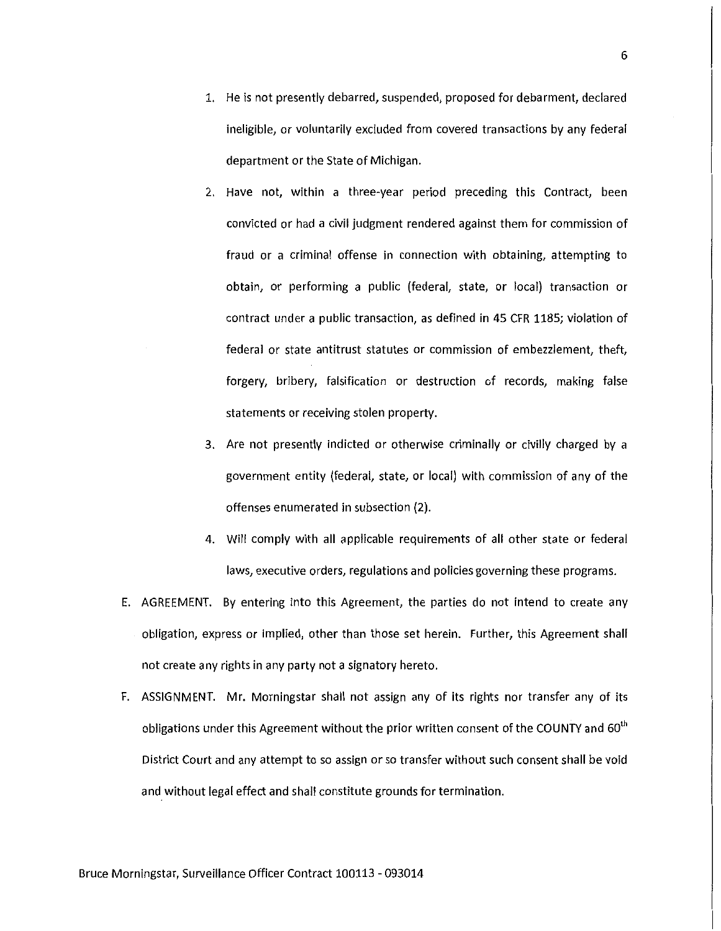- 1. He is not presently debarred, suspended, proposed for debarment, declared ineligible, or voluntarily excluded from covered transactions by any federal department or the State of Michigan.
- 2. Have not, within a three-year period preceding this Contract, been convicted or had a civil judgment rendered against them for commission of fraud or a criminal offense in connection with obtaining, attempting to obtain, or performing a public (federal, state, or local) transaction or contract under a public transaction, as defined in 45 CFR 1185; violation of federal or state antitrust statutes or commission of embezzlement, theft, forgery, bribery, falsification or destruction of records, making false statements or receiving stolen property.
- 3. Are not presently indicted or otherwise criminally or civilly charged by a government entity (federal, state, or local) with commission of any of the offenses enumerated in subsection (2).
- 4. Will comply with all applicable requirements of all other state or federal laws, executive orders, regulations and policies governing these programs.
- E. AGREEMENT. By entering into this Agreement, the parties do not intend to create any obligation, express or implied, other than those set herein. Further, this Agreement shall not create any rights in any party not a signatory hereto.
- F. ASSIGNMENT. Mr. Morningstar shall not assign any of its rights nor transfer any of its obligations under this Agreement without the prior written consent of the COUNTY and 60<sup>th</sup> District Court and any attempt to so assign or so transfer without such consent shall be void and without legal effect and shall constitute grounds for termination.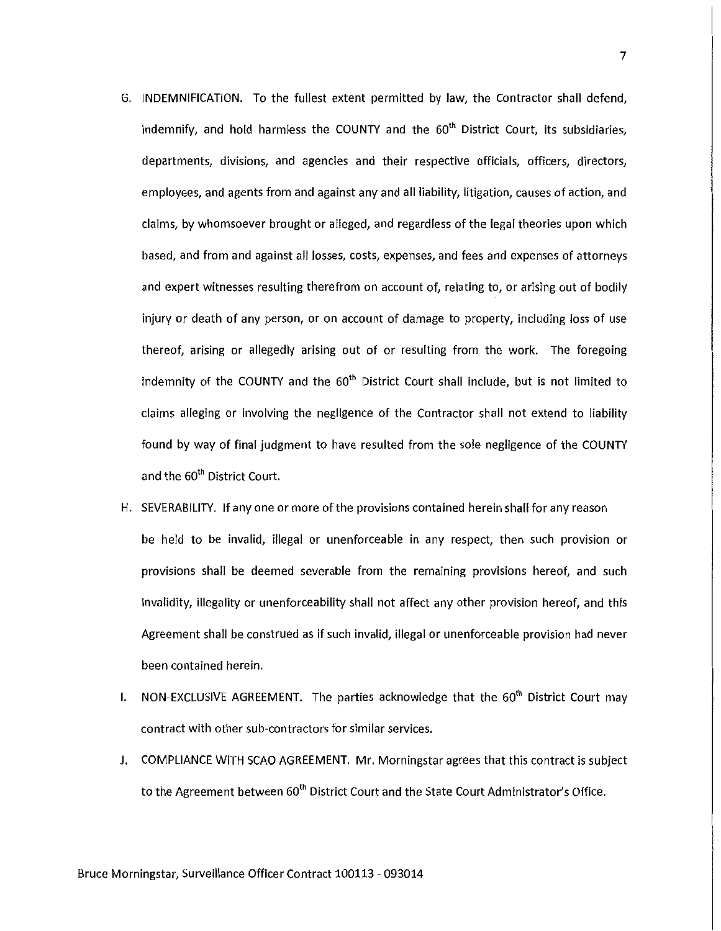- G. INDEMNIFICATION. To the fullest extent permitted by law, the Contractor shall defend, indemnify, and hold harmless the COUNTY and the  $60<sup>th</sup>$  District Court, its subsidiaries, departments, divisions, and agencies and their respective officials, officers, directors, employees, and agents from and against any and all liability, litigation, causes of action, and claims, by whomsoever brought or alleged, and regardless of the legal theories upon which based, and from and against all losses, costs, expenses, and fees and expenses of attorneys and expert witnesses resulting therefrom on account of, relating to, or arising out of bodily injury or death of any person, or on account of damage to property, including loss of use thereof, arising or allegedly arising out of or resulting from the work. The foregoing indemnity of the COUNTY and the 60<sup>th</sup> District Court shall include, but is not limited to claims alleging or involving the negligence of the Contractor shall not extend to liability found by way of final judgment to have resulted from the sole negligence of the COUNTY and the 60<sup>th</sup> District Court.
- H. SEVERABILITY. If any one or more of the provisions contained herein shall for any reason be held to be invalid, illegal or unenforceable in any respect, then such provision or provisions shall be deemed severable from the remaining provisions hereof, and such invalidity, illegality or unenforceability shall not affect any other provision hereof, and this Agreement shall be construed as if such invalid, illegal or unenforceable provision had never been contained herein.
- I. NON-EXCLUSIVE AGREEMENT. The parties acknowledge that the  $60<sup>th</sup>$  District Court may contract with other sub-contractors for similar services.
- J. COMPLIANCE WITH SCAO AGREEMENT. Mr. Morningstar agrees that this contract is subject to the Agreement between 60<sup>th</sup> District Court and the State Court Administrator's Office.

7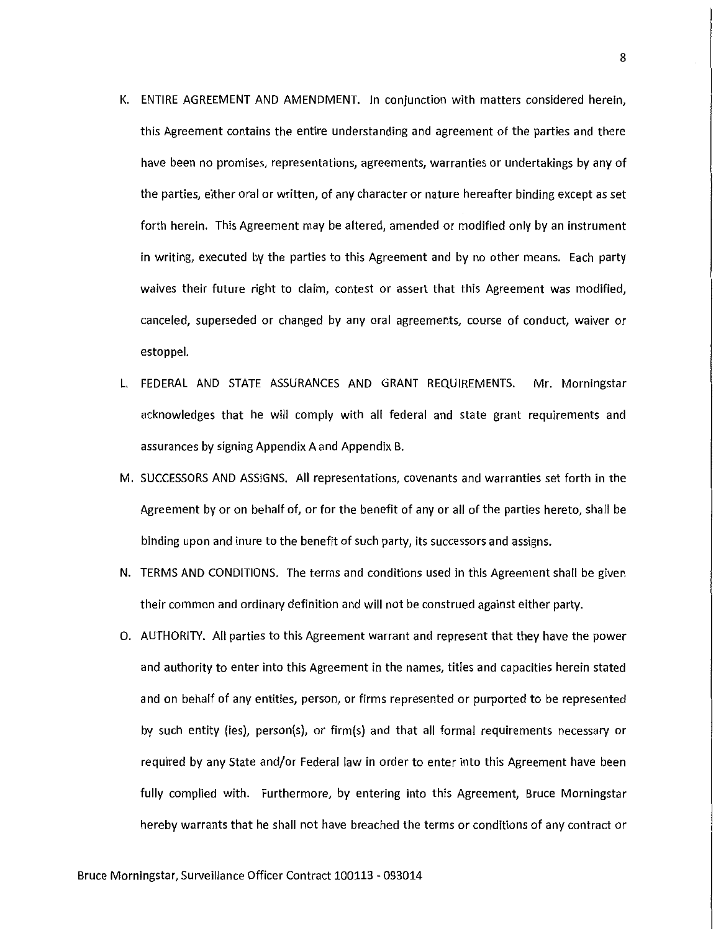- K. ENTIRE AGREEMENT AND AMENDMENT. In conjunction with matters considered herein, this Agreement contains the entire understanding and agreement of the parties and there have been no promises, representations, agreements, warranties or undertakings by any of the parties, either oral or written, of any character or nature hereafter binding except as set forth herein. This Agreement may be altered, amended or modified only by an instrument in writing, executed by the parties to this Agreement and by no other means. Each party waives their future right to claim, contest or assert that this Agreement was modified, canceled, superseded or changed by any oral agreements, course of conduct, waiver or estoppel.
- L. FEDERAL AND STATE ASSURANCES AND GRANT REQUIREMENTS. Mr. Morningstar acknowledges that he will comply with all federal and state grant requirements and assurances by signing Appendix A and Appendix B.
- M. SUCCESSORS AND ASSIGNS. All representations, covenants and warranties set forth in the Agreement by or on behalf of, or for the benefit of any or all of the parties hereto, shall be binding upon and inure to the benefit of such party, its successors and assigns.
- N. TERMS AND CONDITIONS. The terms and conditions used in this Agreement shall be given their common and ordinary definition and will not be construed against either party.
- 0. AUTHORITY. All parties to this Agreement warrant and represent that they have the power and authority to enter into this Agreement in the names, titles and capacities herein stated and on behalf of any entities, person, or firms represented or purported to be represented by such entity (ies), person(s), or firm(s} and that all formal requirements necessary or required by any State and/or Federal law in order to enter into this Agreement have been fully complied with. Furthermore, by entering into this Agreement, Bruce Morningstar hereby warrants that he shall not have breached the terms or conditions of any contract or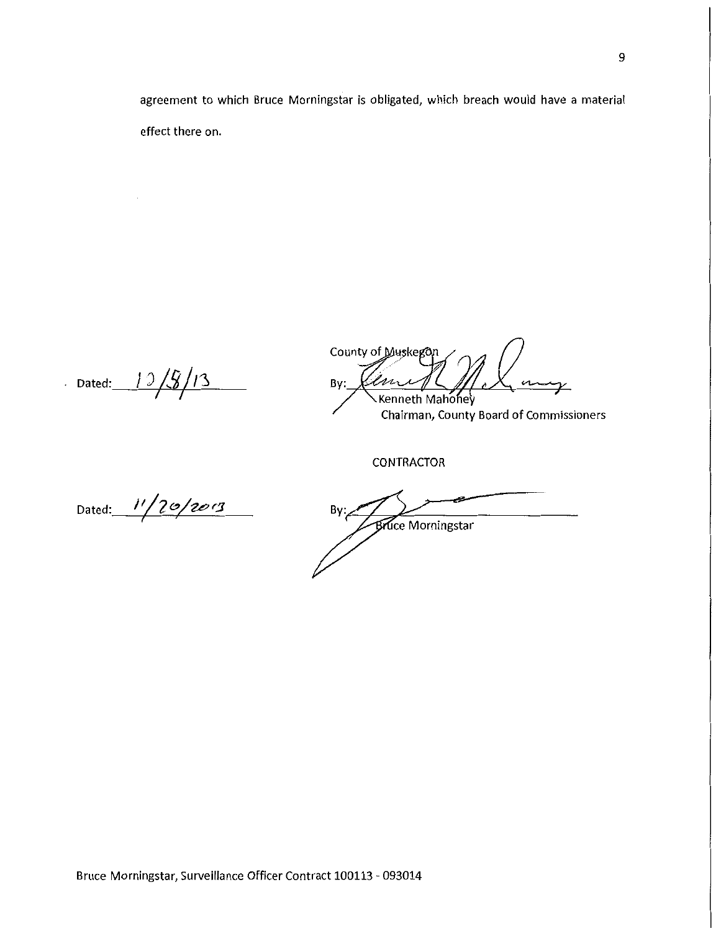agreement to which Bruce Morningstar is obligated, which breach would have a material effect there on.

 $-$  Dated:  $-$  1 3  $/$  5  $/$  1 3

 $\mathcal{A}$ 

County of Muskegon By: m Kenneth Mahoney

Chairman, County Board of Commissioners

CONTRACTOR

Dated: 11/20/2013

 $By:_{\mathcal{A}}$ **Bruce Morningstar**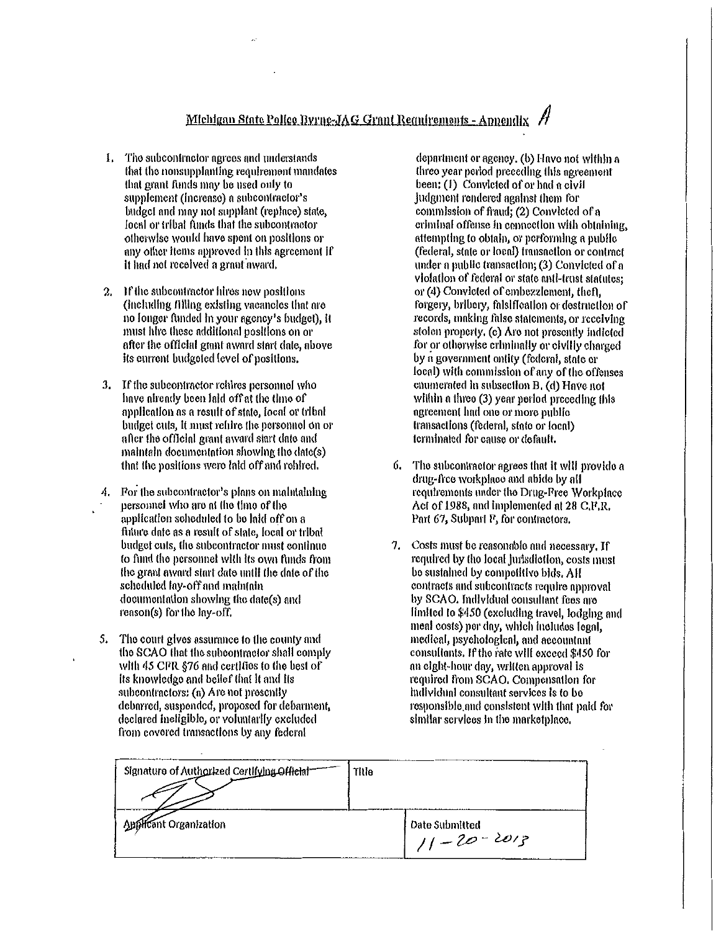# Michigan State Police Byrng-JAG Grant Regnirements - Appendix

- 1. The subcontractor agrees and understands that the nonsupplanting requirement mandates that grant funds may be used only to supplement (increase) a subcontractor's budget and may not supplant (replace) state. local or tribal funds that the subcontractor otherwise would have spent on positions or any other items approved in this agreement if it had not received a grant award.
- If the subcontractor hires new positions  $2.$ (including filling existing vacancles that are no longer funded in your agency's budget), it must lifre these additional positions on or after the official grant award start date, above its current budgeted level of positions.
- 3. If the subcontractor rehires personnel who have already boon laid off at the time of application as a result of state, local or tribal budget cuts, it must relibe the personnel on or after the official grant award start date and maintain documentation showing the date(s) that the positions were laid off and rehired.
- For the subcontractor's plans on maintaining A. personnel who are at the time of the application scheduled to be laid off on a future date as a result of state, local or tribal budget cuts, the subcontractor must continue to fund the personnel with its own funds from the grant award start date until the date of the scheduled lay-off and maintain documentation showing the date(s) and reason(s) for the lay-off.
- 5. The court gives assurance to the county and the SCAO that the subcontractor shall comply with 45 CFR §76 and certifies to the best of its knowledge and belief that it and its subcontractors: (a) Are not presently debarred, suspended, proposed for debarment, declared ineligible, or voluntarily excluded from covered transactions by any federal

department or agency, (b) Hayo not within a three year period preceding this agreement been:  $(1)$  Convicted of or had a civil judgment rendered against them for commission of fraud; (2) Convicted of a criminal offense in connection with obtaining. attempting to obtain, or performing a public (federal, state or local) transaction or contract under a public transaction; (3) Convicted of a violation of federal or state anti-trust statutes: or (4) Convicted of embezzlement, theft, forgery, bribery, falsification or destruction of records, making false statements, or receiving stolen property, (c) Are not presently indicted for or otherwise criminally or civilly charged by a government ontity (federal, state or local) with commission of any of the offenses enumerated in subsection B, (d) Have not within a three (3) year period proceding this agreement had one or more public transactions (federal, state or local) terminated for cause or default.

- The subcontractor agrees that it will provide a 6. drug-free workplace and abide by all requirements under the Drug-Pree Workplace Act of 1988, and implemented at 28 C.F.R. Part 67, Subpart F, for contractors.
- 7. Costs must be reasonable and necessary, If required by the local jurisdiction, costs must be sustained by connetitive bids. All contracts and subcontracts require approval by SCAO. Individual consultant fees are limited to \$450 (excluding travel, lodging and meal costs) per day, which includes legal, medical, psychological, and accountant consultants. If the rate will exceed \$450 for an eight-hour day, written approval is required from SCAO. Compensation for individual consultant services is to be responsible and consistent with that paid for similar scrylees in the marketplace.

| Signature of Authorized Certifying Official | Title |                                    |
|---------------------------------------------|-------|------------------------------------|
| Applicant Organization                      |       | Date Submitted<br>$11 - 20 - 2013$ |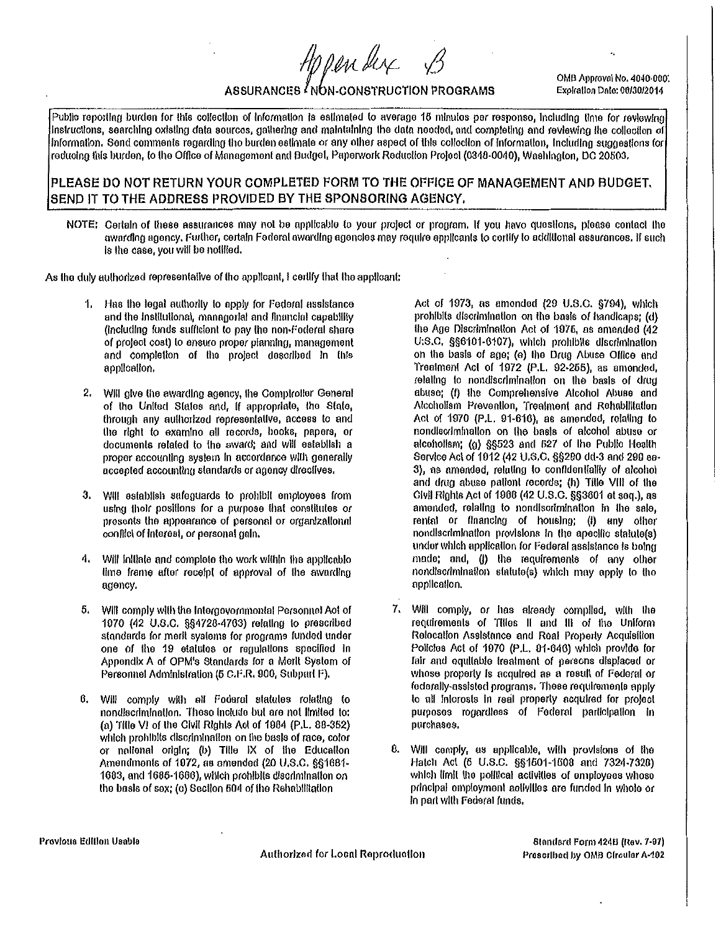Appender

OMB Approval No. 4040-000. Expiration Date: 00/30/2014

## ASSURANCES INON-CONSTRUCTION PROGRAMS

Public reporting burden for this collection of information is estimated to average 15 minutes per response, including time for reviewing instructions, searching oxisting data sources, gathering and maintaining the data needed, and completing and reviewing the collection of information. Send comments regarding the burden estimate or any other aspect of this collection of information, including suggestions for reducing this burden, to the Office of Management and Budget, Paperwork Reduction Project (0348-0040), Washington, DC 20503,

### PLEASE DO NOT RETURN YOUR COMPLETED FORM TO THE OFFICE OF MANAGEMENT AND BUDGET. SEND IT TO THE ADDRESS PROVIDED BY THE SPONSORING AGENCY.

NOTE: Certain of these assurances may not be applicable to your project or program. If you have questions, piease contact the awarding agency, Further, certain Federal awarding agencies may require applicants to certify to additional assurances. If such is the case, you will be notified.

As the duly authorized representative of the applicant, I certify that the applicant:

- 1. Has the legal authority to apply for Federal assistance and the institutional, managorial and financial capability (including funds sufficient to pay the non-Foderal share of orolect cost) to ensuro proper planning, management and completion of the project described in this application.
- Will give the awarding agency, the Compiroller General  $2.$ of the United States and, if appropriate, the State, through any authorized representative, access to and the right to examino all records, books, papers, or documents related to the award; and will estabilsh a proper accounting system in accordance with generally accepted accounting standards or agency directives.
- Will establish safeguards to prohibit employees from 3. using their positions for a purpose that constitutes or presents the appearance of personal or organizalional conflict of interest, or personal gain.
- 4. Will initiate and complete the work within the applicablo time frame after receipt of approval of the awarding agency.
- Will comply with the Intergovornmontal Personnel Act of 5. 1070 (42 U.S.C. §§4728-4763) relating to prescribed standards for merit systems for programs funded under one of the 19 etatutes or regulations specified in Appendix A of OPM's Standards for a Merit Systom of Personnel Administration (5 C.F.R. 900, Subpart F).
- Will comply with all Fodaral statutes rolating to 6. nondiscrimination. These include but are not limited to: (a) Title VI of the Civil Rights Act of 1984 (P.L. 88-362) which prohibits discrimination on the basis of race, color or national origin; (b) Title IX of the Education Amendments of 1072, as amended (20 U.S.C. §§1681-1683, and 1685-1686), which prohibits discrimination on the basis of sex; (c) Section 504 of the Rehabilitation

Act of 1973, as amonded (29 U.S.C. §794), which prohibits discrimination on the basis of handicaps; (d) the Age Discrimination Act of 1975, as amended (42 U:S.C. §§6101-6107), which prohibits discrimination on the basis of age; (e) the Drug Abuse Office and Treatment Act of 1972 (P.L. 92-255), as amonded, relating to nondiscrimination on the basis of drug abuse; (f) the Comprehensive Alcohol Abuse and Alcohollam Prevention, Treatment and Rehabilitation Act of 1970 (P.L. 91-616), as amended, relating to nondiscrimination on the basis of alcohol abuse or alcoholism; (g) §§523 and 527 of the Public Health Service Act of 1912 (42 U.S.C. §§290 dd-3 and 290 ee-3), as amended, relating to confidentiality of alcohot and drug abuse patient recerds: (h) Title VIII of the Civil Rights Act of 1908 (42 U.S.C. §§3601 et seq.), as amended, relating to nondiscrimination in the sale. rental or financing of housing; (i) any other nondiscrimination provisions in the apecific statute(s) under which application for Federal assistance is being made; and, (i) the requirements of any other nondiscrimination statute(s) which may apply to the application.

- 7. Will comply, or has already compiled, with the requirements of Titles II and III of the Uniform Relocation Assistance and Real Property Acquisition Policies Act of 1970 (P.L. 91-646) which provide for fair and equilable treatment of persons displaced or whose property is acquired as a result of Federal or foderally-assisted programs. These requirements apply to all intorosts in real property acquired for project purposes rogardless of Federal participation in purchases.
- 8. Will comply, as applicable, with provisions of the Hatch Act (5 U.S.C. §§1501-1508 and 7324-7320) which limit the political activities of employees whoso principal employment activities are funded in whole or In part with Federal funds.

Provious Edition Usable

Authorized for Local Reproduction

Standard Form 424B (Rev. 7-97) Prescribed by OMB Circular A-102